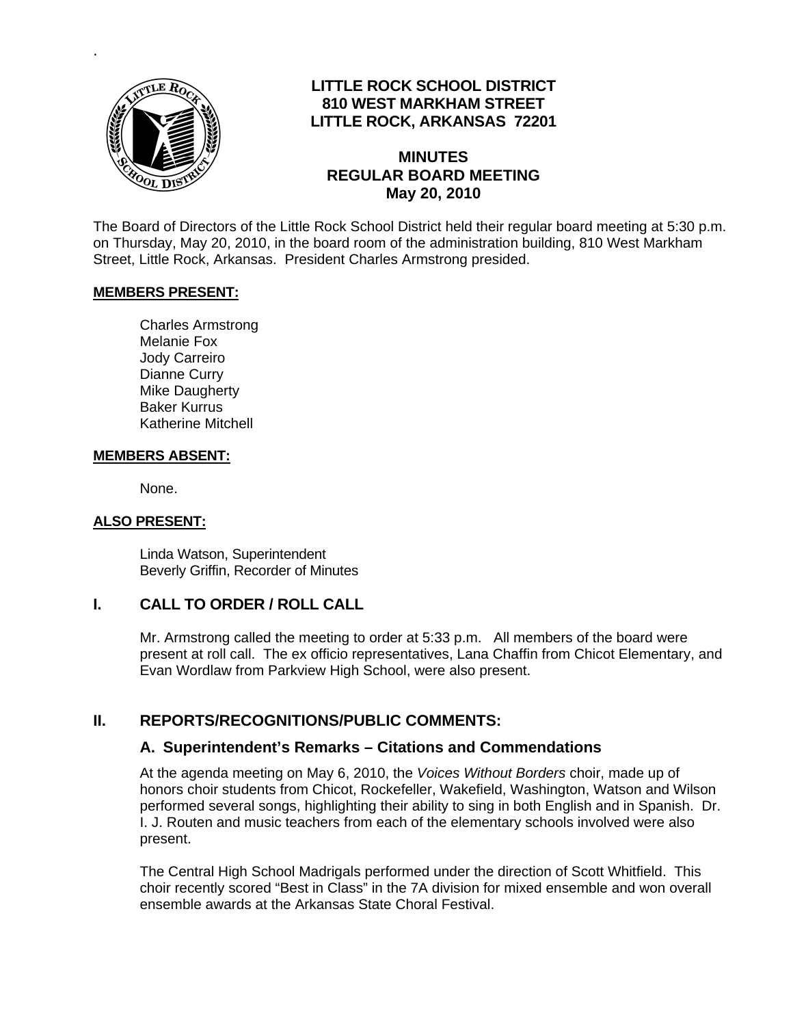

.

# **LITTLE ROCK SCHOOL DISTRICT 810 WEST MARKHAM STREET LITTLE ROCK, ARKANSAS 72201**

#### **MINUTES REGULAR BOARD MEETING May 20, 2010**

The Board of Directors of the Little Rock School District held their regular board meeting at 5:30 p.m. on Thursday, May 20, 2010, in the board room of the administration building, 810 West Markham Street, Little Rock, Arkansas. President Charles Armstrong presided.

#### **MEMBERS PRESENT:**

Charles Armstrong Melanie Fox Jody Carreiro Dianne Curry Mike Daugherty Baker Kurrus Katherine Mitchell

#### **MEMBERS ABSENT:**

None.

#### **ALSO PRESENT:**

 Linda Watson, Superintendent Beverly Griffin, Recorder of Minutes

### **I. CALL TO ORDER / ROLL CALL**

Mr. Armstrong called the meeting to order at 5:33 p.m. All members of the board were present at roll call. The ex officio representatives, Lana Chaffin from Chicot Elementary, and Evan Wordlaw from Parkview High School, were also present.

### **II. REPORTS/RECOGNITIONS/PUBLIC COMMENTS:**

#### **A. Superintendent's Remarks – Citations and Commendations**

At the agenda meeting on May 6, 2010, the *Voices Without Borders* choir, made up of honors choir students from Chicot, Rockefeller, Wakefield, Washington, Watson and Wilson performed several songs, highlighting their ability to sing in both English and in Spanish. Dr. I. J. Routen and music teachers from each of the elementary schools involved were also present.

The Central High School Madrigals performed under the direction of Scott Whitfield. This choir recently scored "Best in Class" in the 7A division for mixed ensemble and won overall ensemble awards at the Arkansas State Choral Festival.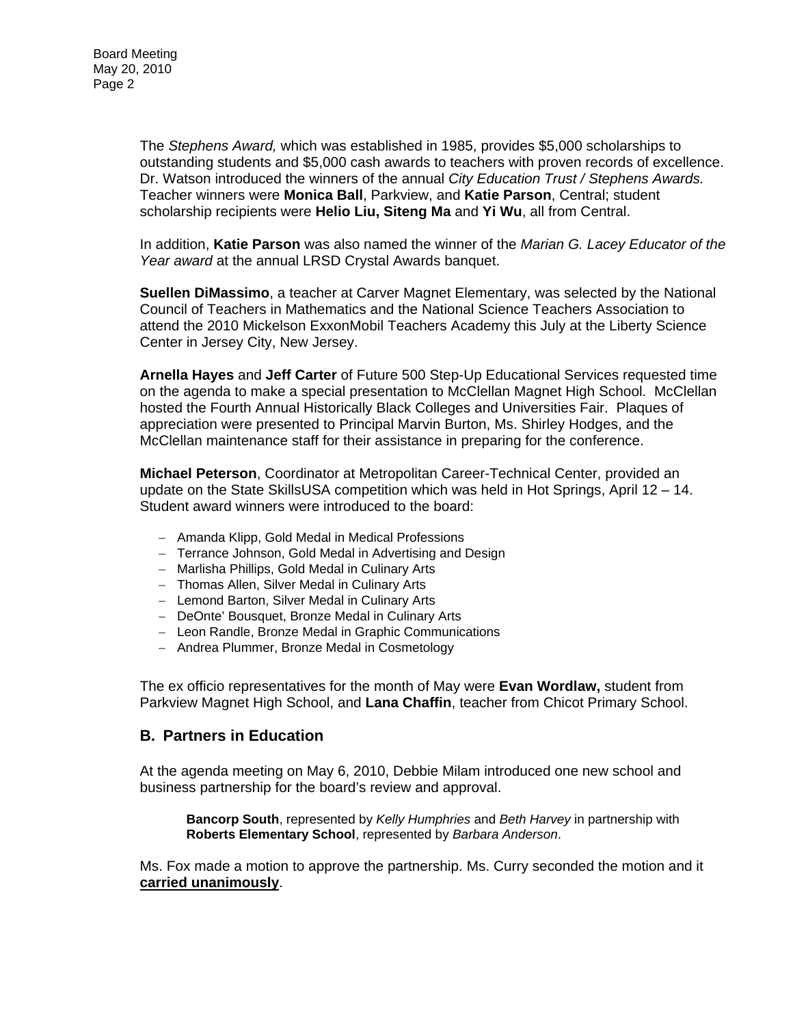The *Stephens Award,* which was established in 1985, provides \$5,000 scholarships to outstanding students and \$5,000 cash awards to teachers with proven records of excellence. Dr. Watson introduced the winners of the annual *City Education Trust / Stephens Awards.* Teacher winners were **Monica Ball**, Parkview, and **Katie Parson**, Central; student scholarship recipients were **Helio Liu, Siteng Ma** and **Yi Wu**, all from Central.

In addition, **Katie Parson** was also named the winner of the *Marian G. Lacey Educator of the Year award* at the annual LRSD Crystal Awards banquet.

**Suellen DiMassimo**, a teacher at Carver Magnet Elementary, was selected by the National Council of Teachers in Mathematics and the National Science Teachers Association to attend the 2010 Mickelson ExxonMobil Teachers Academy this July at the Liberty Science Center in Jersey City, New Jersey.

**Arnella Hayes** and **Jeff Carter** of Future 500 Step-Up Educational Services requested time on the agenda to make a special presentation to McClellan Magnet High School. McClellan hosted the Fourth Annual Historically Black Colleges and Universities Fair. Plaques of appreciation were presented to Principal Marvin Burton, Ms. Shirley Hodges, and the McClellan maintenance staff for their assistance in preparing for the conference.

**Michael Peterson**, Coordinator at Metropolitan Career-Technical Center, provided an update on the State SkillsUSA competition which was held in Hot Springs, April 12 – 14. Student award winners were introduced to the board:

- − Amanda Klipp, Gold Medal in Medical Professions
- − Terrance Johnson, Gold Medal in Advertising and Design
- − Marlisha Phillips, Gold Medal in Culinary Arts
- − Thomas Allen, Silver Medal in Culinary Arts
- − Lemond Barton, Silver Medal in Culinary Arts
- − DeOnte' Bousquet, Bronze Medal in Culinary Arts
- − Leon Randle, Bronze Medal in Graphic Communications
- − Andrea Plummer, Bronze Medal in Cosmetology

The ex officio representatives for the month of May were **Evan Wordlaw,** student from Parkview Magnet High School, and **Lana Chaffin**, teacher from Chicot Primary School.

### **B. Partners in Education**

At the agenda meeting on May 6, 2010, Debbie Milam introduced one new school and business partnership for the board's review and approval.

**Bancorp South**, represented by *Kelly Humphries* and *Beth Harvey* in partnership with **Roberts Elementary School**, represented by *Barbara Anderson*.

Ms. Fox made a motion to approve the partnership. Ms. Curry seconded the motion and it **carried unanimously**.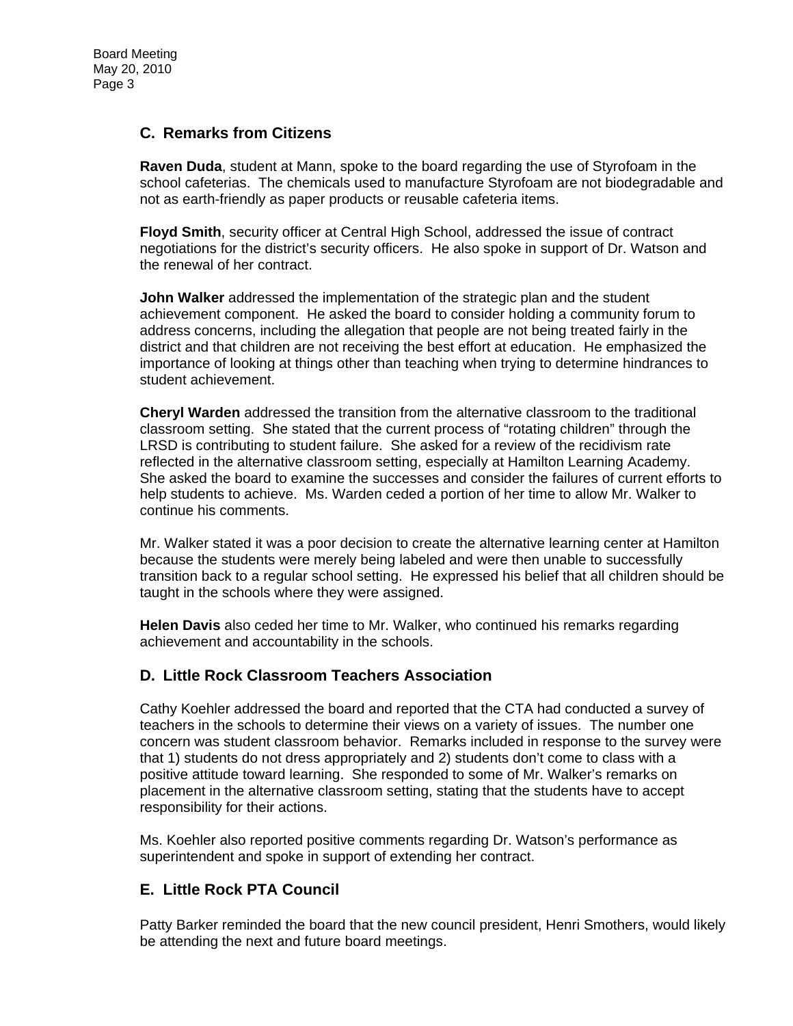### **C. Remarks from Citizens**

**Raven Duda**, student at Mann, spoke to the board regarding the use of Styrofoam in the school cafeterias. The chemicals used to manufacture Styrofoam are not biodegradable and not as earth-friendly as paper products or reusable cafeteria items.

**Floyd Smith**, security officer at Central High School, addressed the issue of contract negotiations for the district's security officers. He also spoke in support of Dr. Watson and the renewal of her contract.

**John Walker** addressed the implementation of the strategic plan and the student achievement component. He asked the board to consider holding a community forum to address concerns, including the allegation that people are not being treated fairly in the district and that children are not receiving the best effort at education. He emphasized the importance of looking at things other than teaching when trying to determine hindrances to student achievement.

**Cheryl Warden** addressed the transition from the alternative classroom to the traditional classroom setting. She stated that the current process of "rotating children" through the LRSD is contributing to student failure. She asked for a review of the recidivism rate reflected in the alternative classroom setting, especially at Hamilton Learning Academy. She asked the board to examine the successes and consider the failures of current efforts to help students to achieve. Ms. Warden ceded a portion of her time to allow Mr. Walker to continue his comments.

Mr. Walker stated it was a poor decision to create the alternative learning center at Hamilton because the students were merely being labeled and were then unable to successfully transition back to a regular school setting. He expressed his belief that all children should be taught in the schools where they were assigned.

**Helen Davis** also ceded her time to Mr. Walker, who continued his remarks regarding achievement and accountability in the schools.

### **D. Little Rock Classroom Teachers Association**

Cathy Koehler addressed the board and reported that the CTA had conducted a survey of teachers in the schools to determine their views on a variety of issues. The number one concern was student classroom behavior. Remarks included in response to the survey were that 1) students do not dress appropriately and 2) students don't come to class with a positive attitude toward learning. She responded to some of Mr. Walker's remarks on placement in the alternative classroom setting, stating that the students have to accept responsibility for their actions.

Ms. Koehler also reported positive comments regarding Dr. Watson's performance as superintendent and spoke in support of extending her contract.

# **E. Little Rock PTA Council**

Patty Barker reminded the board that the new council president, Henri Smothers, would likely be attending the next and future board meetings.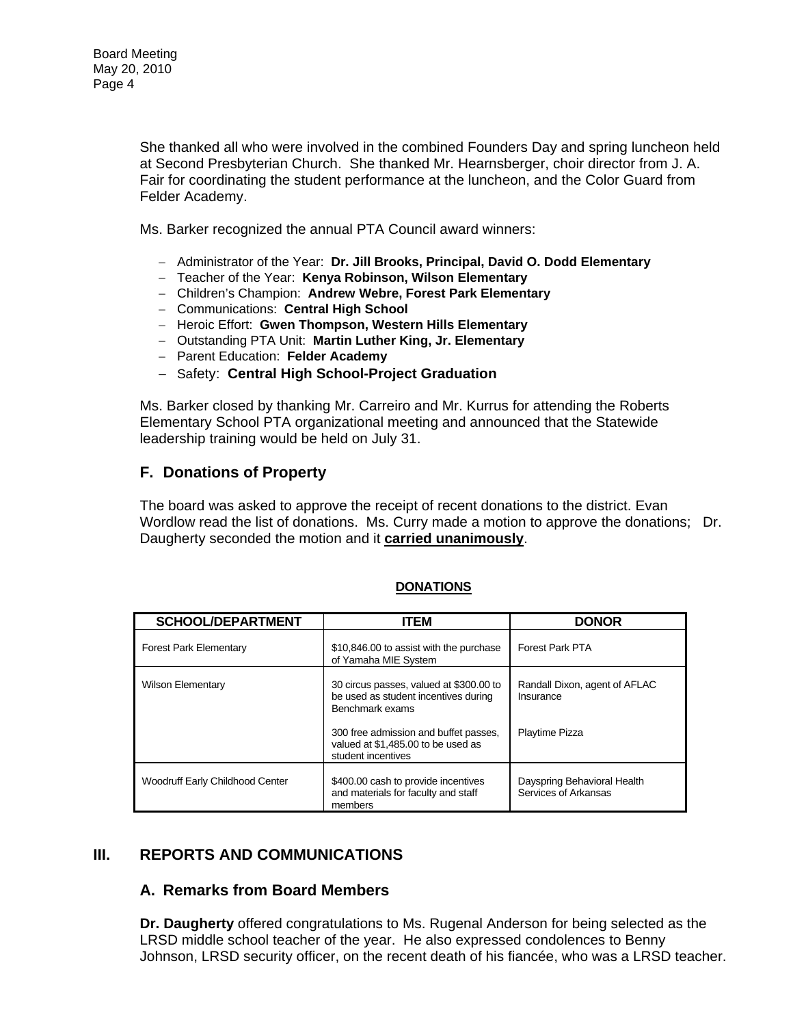She thanked all who were involved in the combined Founders Day and spring luncheon held at Second Presbyterian Church. She thanked Mr. Hearnsberger, choir director from J. A. Fair for coordinating the student performance at the luncheon, and the Color Guard from Felder Academy.

Ms. Barker recognized the annual PTA Council award winners:

- − Administrator of the Year: **Dr. Jill Brooks, Principal, David O. Dodd Elementary**
- − Teacher of the Year: **Kenya Robinson, Wilson Elementary**
- − Children's Champion: **Andrew Webre, Forest Park Elementary**
- − Communications: **Central High School**
- − Heroic Effort: **Gwen Thompson, Western Hills Elementary**
- − Outstanding PTA Unit: **Martin Luther King, Jr. Elementary**
- − Parent Education: **Felder Academy**
- − Safety: **Central High School-Project Graduation**

Ms. Barker closed by thanking Mr. Carreiro and Mr. Kurrus for attending the Roberts Elementary School PTA organizational meeting and announced that the Statewide leadership training would be held on July 31.

### **F. Donations of Property**

The board was asked to approve the receipt of recent donations to the district. Evan Wordlow read the list of donations. Ms. Curry made a motion to approve the donations; Dr. Daugherty seconded the motion and it **carried unanimously**.

| <b>DONATIONS</b> |  |
|------------------|--|
|                  |  |

| <b>SCHOOL/DEPARTMENT</b>               | <b>ITEM</b>                                                                                                                                                                       | <b>DONOR</b>                                                 |
|----------------------------------------|-----------------------------------------------------------------------------------------------------------------------------------------------------------------------------------|--------------------------------------------------------------|
| <b>Forest Park Elementary</b>          | \$10,846.00 to assist with the purchase<br>of Yamaha MIE System                                                                                                                   | Forest Park PTA                                              |
| <b>Wilson Elementary</b>               | 30 circus passes, valued at \$300.00 to<br>be used as student incentives during<br>Benchmark exams<br>300 free admission and buffet passes,<br>valued at \$1,485.00 to be used as | Randall Dixon, agent of AFLAC<br>Insurance<br>Playtime Pizza |
|                                        | student incentives                                                                                                                                                                |                                                              |
| <b>Woodruff Early Childhood Center</b> | \$400.00 cash to provide incentives<br>and materials for faculty and staff<br>members                                                                                             | Dayspring Behavioral Health<br>Services of Arkansas          |

### **III. REPORTS AND COMMUNICATIONS**

### **A. Remarks from Board Members**

**Dr. Daugherty** offered congratulations to Ms. Rugenal Anderson for being selected as the LRSD middle school teacher of the year. He also expressed condolences to Benny Johnson, LRSD security officer, on the recent death of his fiancée, who was a LRSD teacher.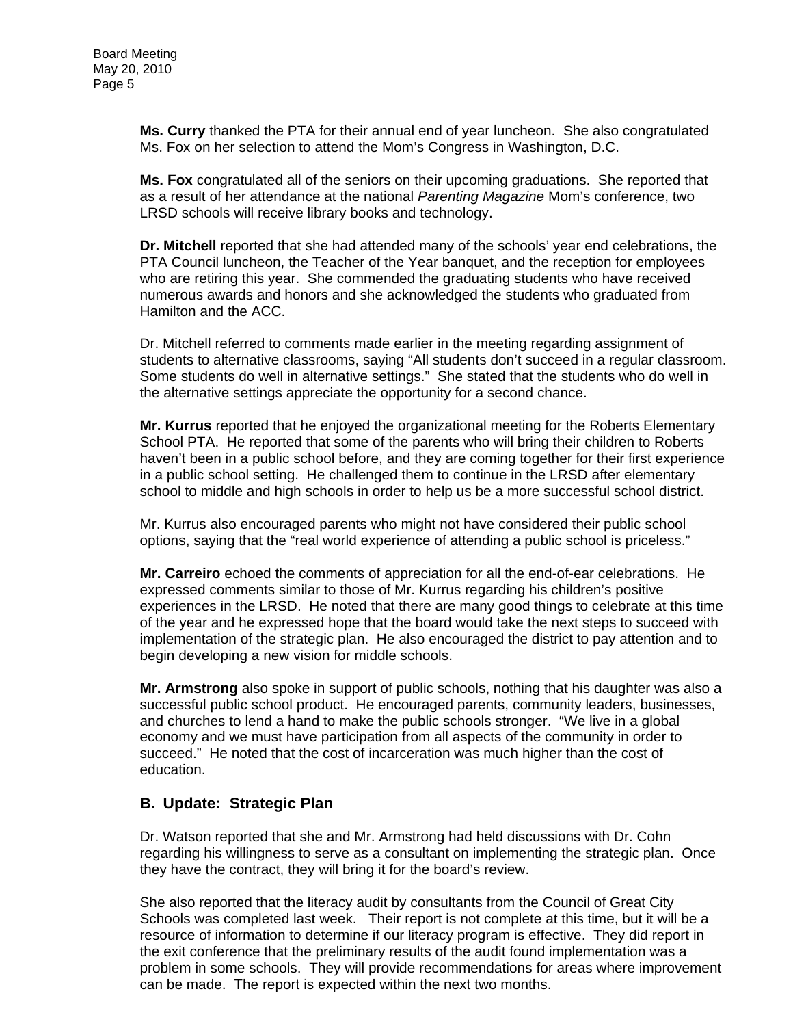**Ms. Curry** thanked the PTA for their annual end of year luncheon. She also congratulated Ms. Fox on her selection to attend the Mom's Congress in Washington, D.C.

**Ms. Fox** congratulated all of the seniors on their upcoming graduations. She reported that as a result of her attendance at the national *Parenting Magazine* Mom's conference, two LRSD schools will receive library books and technology.

**Dr. Mitchell** reported that she had attended many of the schools' year end celebrations, the PTA Council luncheon, the Teacher of the Year banquet, and the reception for employees who are retiring this year. She commended the graduating students who have received numerous awards and honors and she acknowledged the students who graduated from Hamilton and the ACC.

Dr. Mitchell referred to comments made earlier in the meeting regarding assignment of students to alternative classrooms, saying "All students don't succeed in a regular classroom. Some students do well in alternative settings." She stated that the students who do well in the alternative settings appreciate the opportunity for a second chance.

**Mr. Kurrus** reported that he enjoyed the organizational meeting for the Roberts Elementary School PTA. He reported that some of the parents who will bring their children to Roberts haven't been in a public school before, and they are coming together for their first experience in a public school setting. He challenged them to continue in the LRSD after elementary school to middle and high schools in order to help us be a more successful school district.

Mr. Kurrus also encouraged parents who might not have considered their public school options, saying that the "real world experience of attending a public school is priceless."

**Mr. Carreiro** echoed the comments of appreciation for all the end-of-ear celebrations. He expressed comments similar to those of Mr. Kurrus regarding his children's positive experiences in the LRSD. He noted that there are many good things to celebrate at this time of the year and he expressed hope that the board would take the next steps to succeed with implementation of the strategic plan. He also encouraged the district to pay attention and to begin developing a new vision for middle schools.

**Mr. Armstrong** also spoke in support of public schools, nothing that his daughter was also a successful public school product. He encouraged parents, community leaders, businesses, and churches to lend a hand to make the public schools stronger. "We live in a global economy and we must have participation from all aspects of the community in order to succeed." He noted that the cost of incarceration was much higher than the cost of education.

# **B. Update: Strategic Plan**

Dr. Watson reported that she and Mr. Armstrong had held discussions with Dr. Cohn regarding his willingness to serve as a consultant on implementing the strategic plan. Once they have the contract, they will bring it for the board's review.

She also reported that the literacy audit by consultants from the Council of Great City Schools was completed last week. Their report is not complete at this time, but it will be a resource of information to determine if our literacy program is effective. They did report in the exit conference that the preliminary results of the audit found implementation was a problem in some schools. They will provide recommendations for areas where improvement can be made. The report is expected within the next two months.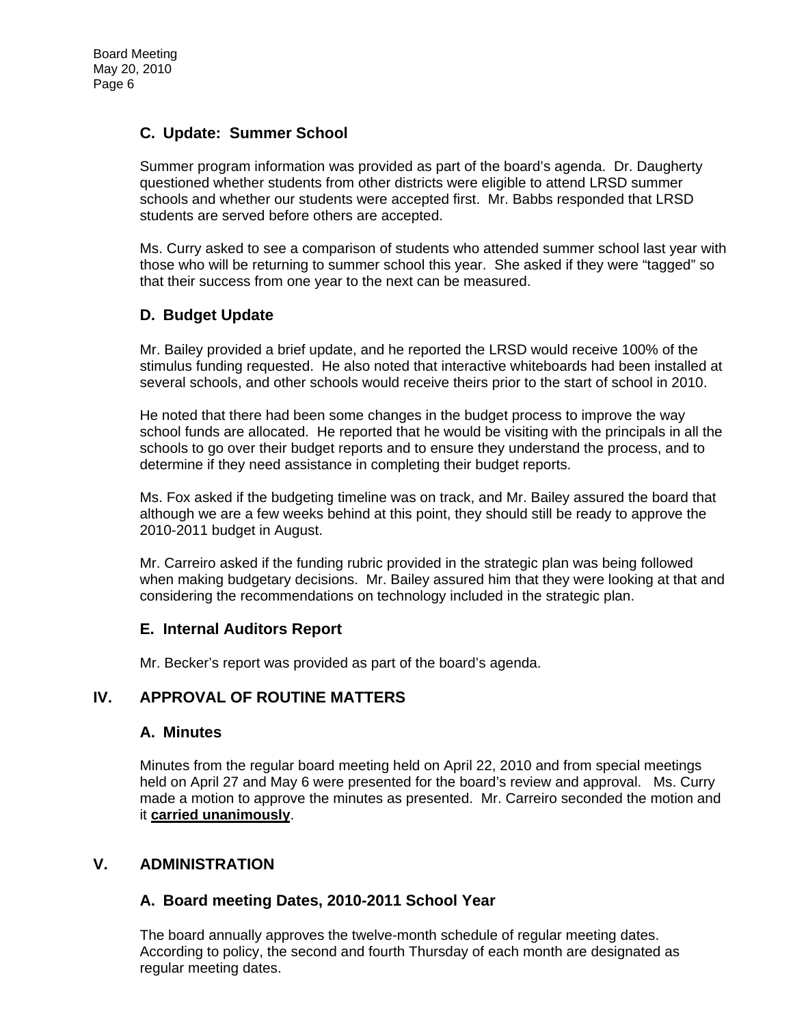# **C. Update: Summer School**

Summer program information was provided as part of the board's agenda. Dr. Daugherty questioned whether students from other districts were eligible to attend LRSD summer schools and whether our students were accepted first. Mr. Babbs responded that LRSD students are served before others are accepted.

Ms. Curry asked to see a comparison of students who attended summer school last year with those who will be returning to summer school this year. She asked if they were "tagged" so that their success from one year to the next can be measured.

### **D. Budget Update**

Mr. Bailey provided a brief update, and he reported the LRSD would receive 100% of the stimulus funding requested. He also noted that interactive whiteboards had been installed at several schools, and other schools would receive theirs prior to the start of school in 2010.

He noted that there had been some changes in the budget process to improve the way school funds are allocated. He reported that he would be visiting with the principals in all the schools to go over their budget reports and to ensure they understand the process, and to determine if they need assistance in completing their budget reports.

Ms. Fox asked if the budgeting timeline was on track, and Mr. Bailey assured the board that although we are a few weeks behind at this point, they should still be ready to approve the 2010-2011 budget in August.

Mr. Carreiro asked if the funding rubric provided in the strategic plan was being followed when making budgetary decisions. Mr. Bailey assured him that they were looking at that and considering the recommendations on technology included in the strategic plan.

### **E. Internal Auditors Report**

Mr. Becker's report was provided as part of the board's agenda.

### **IV. APPROVAL OF ROUTINE MATTERS**

### **A. Minutes**

Minutes from the regular board meeting held on April 22, 2010 and from special meetings held on April 27 and May 6 were presented for the board's review and approval. Ms. Curry made a motion to approve the minutes as presented. Mr. Carreiro seconded the motion and it **carried unanimously**.

### **V. ADMINISTRATION**

### **A. Board meeting Dates, 2010-2011 School Year**

The board annually approves the twelve-month schedule of regular meeting dates. According to policy, the second and fourth Thursday of each month are designated as regular meeting dates.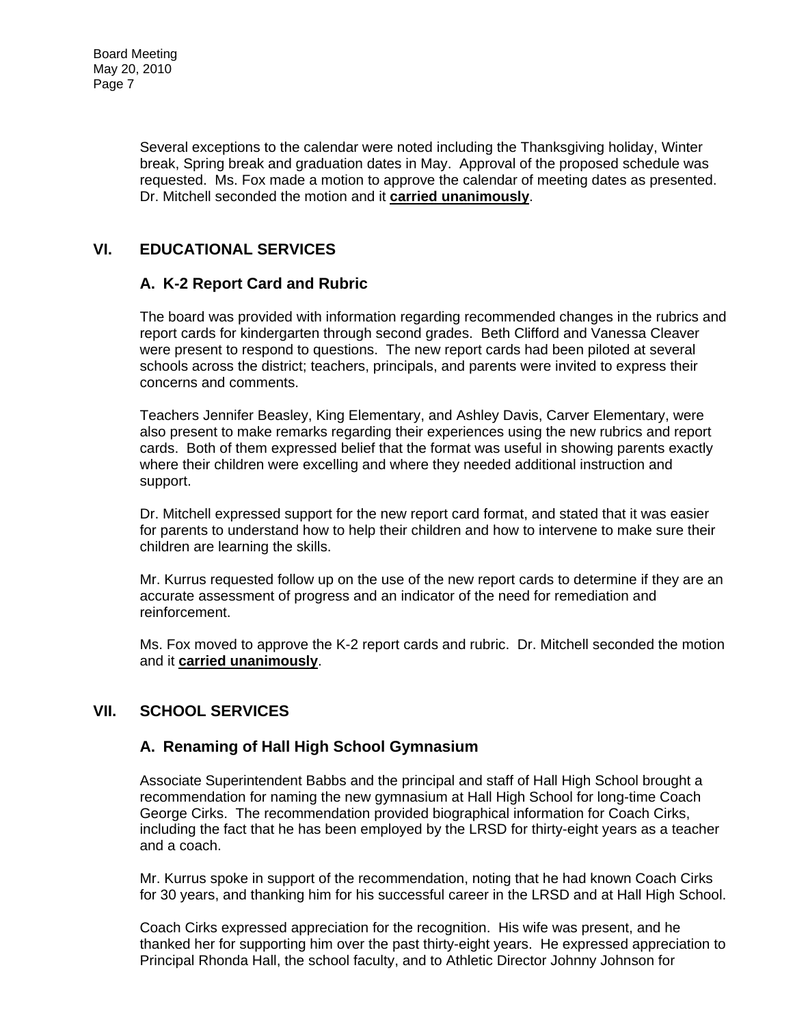Several exceptions to the calendar were noted including the Thanksgiving holiday, Winter break, Spring break and graduation dates in May. Approval of the proposed schedule was requested. Ms. Fox made a motion to approve the calendar of meeting dates as presented. Dr. Mitchell seconded the motion and it **carried unanimously**.

# **VI. EDUCATIONAL SERVICES**

# **A. K-2 Report Card and Rubric**

The board was provided with information regarding recommended changes in the rubrics and report cards for kindergarten through second grades. Beth Clifford and Vanessa Cleaver were present to respond to questions. The new report cards had been piloted at several schools across the district; teachers, principals, and parents were invited to express their concerns and comments.

Teachers Jennifer Beasley, King Elementary, and Ashley Davis, Carver Elementary, were also present to make remarks regarding their experiences using the new rubrics and report cards. Both of them expressed belief that the format was useful in showing parents exactly where their children were excelling and where they needed additional instruction and support.

Dr. Mitchell expressed support for the new report card format, and stated that it was easier for parents to understand how to help their children and how to intervene to make sure their children are learning the skills.

Mr. Kurrus requested follow up on the use of the new report cards to determine if they are an accurate assessment of progress and an indicator of the need for remediation and reinforcement.

Ms. Fox moved to approve the K-2 report cards and rubric. Dr. Mitchell seconded the motion and it **carried unanimously**.

# **VII. SCHOOL SERVICES**

### **A. Renaming of Hall High School Gymnasium**

Associate Superintendent Babbs and the principal and staff of Hall High School brought a recommendation for naming the new gymnasium at Hall High School for long-time Coach George Cirks. The recommendation provided biographical information for Coach Cirks, including the fact that he has been employed by the LRSD for thirty-eight years as a teacher and a coach.

Mr. Kurrus spoke in support of the recommendation, noting that he had known Coach Cirks for 30 years, and thanking him for his successful career in the LRSD and at Hall High School.

Coach Cirks expressed appreciation for the recognition. His wife was present, and he thanked her for supporting him over the past thirty-eight years. He expressed appreciation to Principal Rhonda Hall, the school faculty, and to Athletic Director Johnny Johnson for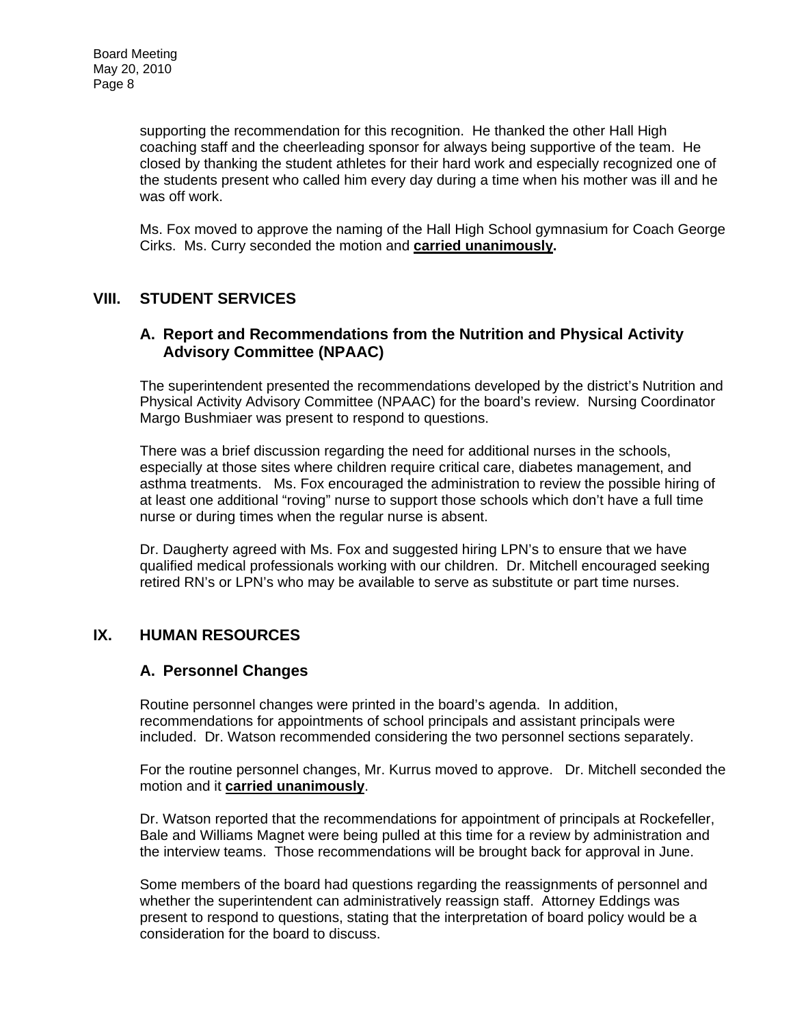supporting the recommendation for this recognition. He thanked the other Hall High coaching staff and the cheerleading sponsor for always being supportive of the team. He closed by thanking the student athletes for their hard work and especially recognized one of the students present who called him every day during a time when his mother was ill and he was off work.

Ms. Fox moved to approve the naming of the Hall High School gymnasium for Coach George Cirks. Ms. Curry seconded the motion and **carried unanimously.**

# **VIII. STUDENT SERVICES**

#### **A. Report and Recommendations from the Nutrition and Physical Activity Advisory Committee (NPAAC)**

The superintendent presented the recommendations developed by the district's Nutrition and Physical Activity Advisory Committee (NPAAC) for the board's review. Nursing Coordinator Margo Bushmiaer was present to respond to questions.

There was a brief discussion regarding the need for additional nurses in the schools, especially at those sites where children require critical care, diabetes management, and asthma treatments. Ms. Fox encouraged the administration to review the possible hiring of at least one additional "roving" nurse to support those schools which don't have a full time nurse or during times when the regular nurse is absent.

Dr. Daugherty agreed with Ms. Fox and suggested hiring LPN's to ensure that we have qualified medical professionals working with our children. Dr. Mitchell encouraged seeking retired RN's or LPN's who may be available to serve as substitute or part time nurses.

### **IX. HUMAN RESOURCES**

### **A. Personnel Changes**

Routine personnel changes were printed in the board's agenda. In addition, recommendations for appointments of school principals and assistant principals were included. Dr. Watson recommended considering the two personnel sections separately.

For the routine personnel changes, Mr. Kurrus moved to approve. Dr. Mitchell seconded the motion and it **carried unanimously**.

Dr. Watson reported that the recommendations for appointment of principals at Rockefeller, Bale and Williams Magnet were being pulled at this time for a review by administration and the interview teams. Those recommendations will be brought back for approval in June.

Some members of the board had questions regarding the reassignments of personnel and whether the superintendent can administratively reassign staff. Attorney Eddings was present to respond to questions, stating that the interpretation of board policy would be a consideration for the board to discuss.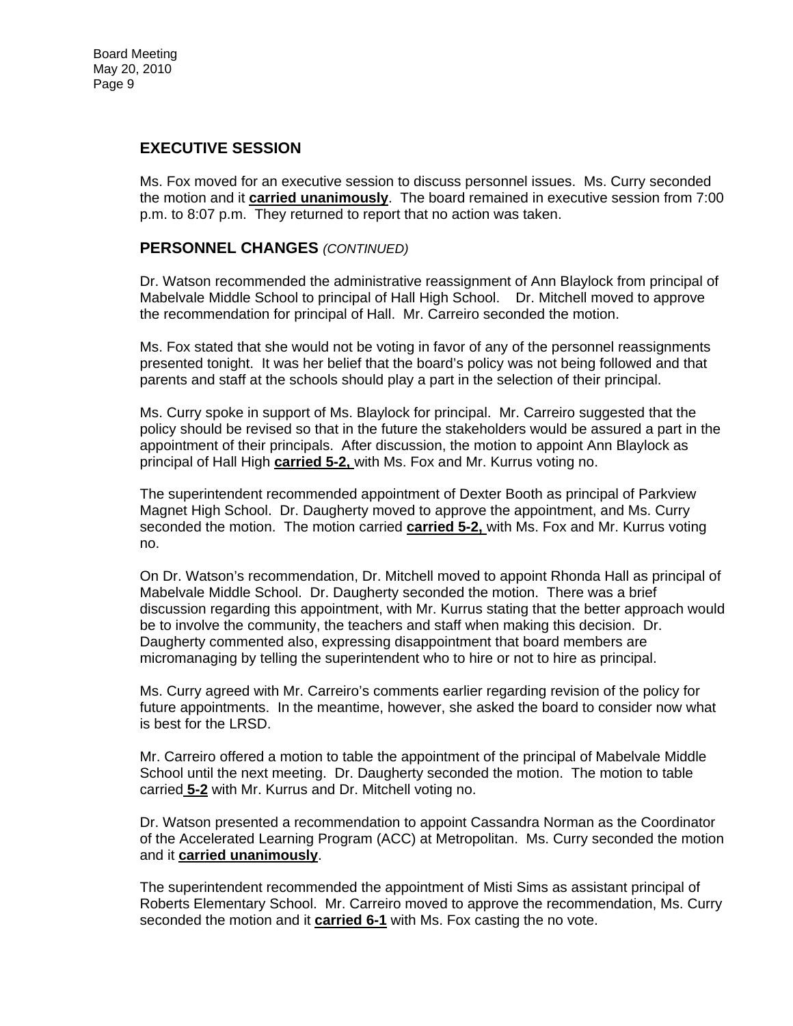# **EXECUTIVE SESSION**

Ms. Fox moved for an executive session to discuss personnel issues. Ms. Curry seconded the motion and it **carried unanimously**. The board remained in executive session from 7:00 p.m. to 8:07 p.m. They returned to report that no action was taken.

#### **PERSONNEL CHANGES** *(CONTINUED)*

Dr. Watson recommended the administrative reassignment of Ann Blaylock from principal of Mabelvale Middle School to principal of Hall High School. Dr. Mitchell moved to approve the recommendation for principal of Hall. Mr. Carreiro seconded the motion.

Ms. Fox stated that she would not be voting in favor of any of the personnel reassignments presented tonight. It was her belief that the board's policy was not being followed and that parents and staff at the schools should play a part in the selection of their principal.

Ms. Curry spoke in support of Ms. Blaylock for principal. Mr. Carreiro suggested that the policy should be revised so that in the future the stakeholders would be assured a part in the appointment of their principals. After discussion, the motion to appoint Ann Blaylock as principal of Hall High **carried 5-2,** with Ms. Fox and Mr. Kurrus voting no.

The superintendent recommended appointment of Dexter Booth as principal of Parkview Magnet High School. Dr. Daugherty moved to approve the appointment, and Ms. Curry seconded the motion. The motion carried **carried 5-2,** with Ms. Fox and Mr. Kurrus voting no.

On Dr. Watson's recommendation, Dr. Mitchell moved to appoint Rhonda Hall as principal of Mabelvale Middle School. Dr. Daugherty seconded the motion. There was a brief discussion regarding this appointment, with Mr. Kurrus stating that the better approach would be to involve the community, the teachers and staff when making this decision. Dr. Daugherty commented also, expressing disappointment that board members are micromanaging by telling the superintendent who to hire or not to hire as principal.

Ms. Curry agreed with Mr. Carreiro's comments earlier regarding revision of the policy for future appointments. In the meantime, however, she asked the board to consider now what is best for the LRSD.

Mr. Carreiro offered a motion to table the appointment of the principal of Mabelvale Middle School until the next meeting. Dr. Daugherty seconded the motion. The motion to table carried **5-2** with Mr. Kurrus and Dr. Mitchell voting no.

Dr. Watson presented a recommendation to appoint Cassandra Norman as the Coordinator of the Accelerated Learning Program (ACC) at Metropolitan. Ms. Curry seconded the motion and it **carried unanimously**.

The superintendent recommended the appointment of Misti Sims as assistant principal of Roberts Elementary School. Mr. Carreiro moved to approve the recommendation, Ms. Curry seconded the motion and it **carried 6-1** with Ms. Fox casting the no vote.